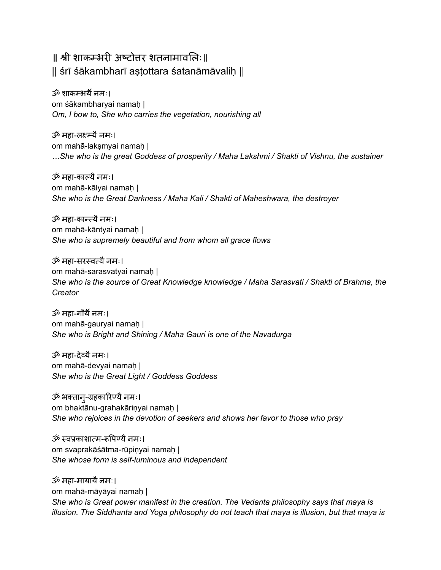# ॥ श्री शाकम्भरी अष्टोत्तर शतनामावलि ः॥ || śrī śākambharī aṣṭottara śatanāmāvaliḥ ||

ॐ शाकम्भर्यै नमः। om śākambharyai namaḥ | *Om, I bow to, She who carries the vegetation, nourishing all*

ॐ महा-लक्ष्म्यैनमः। om mahā-lakṣmyai namaḥ | *…She who is the great Goddess of prosperity / Maha Lakshmi / Shakti of Vishnu, the sustainer*

ॐ महा-काल्यै नमः। om mahā-kālyai namaḥ | *She who is the Great Darkness / Maha Kali / Shakti of Maheshwara, the destroyer*

ॐ महा-कान्त्यैनमः। om mahā-kāntyai namaḥ | *She who is supremely beautiful and from whom all grace flows*

ॐ महा-सरस्वत्यैनमः। om mahā-sarasvatyai namaḥ | *She who is the source of Great Knowledge knowledge / Maha Sarasvati / Shakti of Brahma, the Creator*

ॐ महा-गौर्यै नमः। om mahā-gauryai namaḥ | *She who is Bright and Shining / Maha Gauri is one of the Navadurga*

ॐ महा-देव्यैनमः। om mahā-devyai namaḥ | *She who is the Great Light / Goddess Goddess*

ॐ भक्तान्-ग्रहकारिण्यै नमः। om bhaktānu-grahakāriṇyai namaḥ | *She who rejoices in the devotion of seekers and shows her favor to those who pray*

ॐ स्वप्रकाशात्म-रूपिण्यै नमः। om svaprakāśātma-rūpiṇyai namaḥ | *She whose form is self-luminous and independent*

ॐ महा-मायायैनमः। om mahā-māyāyai namaḥ | *She who is Great power manifest in the creation. The Vedanta philosophy says that maya is illusion. The Siddhanta and Yoga philosophy do not teach that maya is illusion, but that maya is*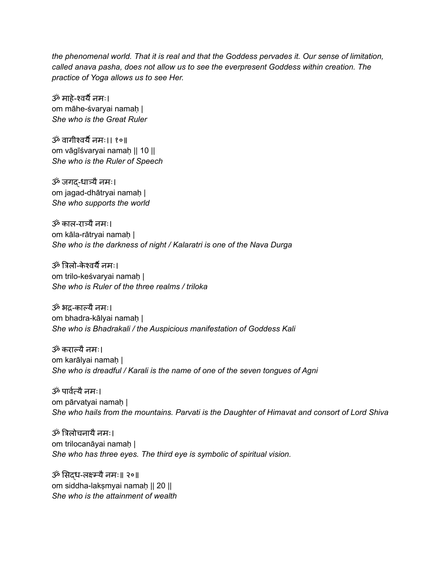*the phenomenal world. That it is real and that the Goddess pervades it. Our sense of limitation, called anava pasha, does not allow us to see the everpresent Goddess within creation. The practice of Yoga allows us to see Her.*

ॐ माहे-श्वर्यै नमः। om māhe-śvaryai namaḥ | *She who is the Great Ruler*

ॐ वागीश्वर्यै नमः।। १०॥ om vāgīśvaryai namaḥ || 10 || *She who is the Ruler of Speech*

ॐ जगद्-धात्र्यैनमः। om jagad-dhātryai namaḥ | *She who supports the world*

ॐ काल-रात्र्यैनमः। om kāla-rātrvai namah | *She who is the darkness of night / Kalaratri is one of the Nava Durga*

ॐ त्रि लो-केश्वर्यै नमः। om trilo-keśvaryai namaḥ | *She who is Ruler of the three realms / triloka*

ॐ भद्र-काल्यैनमः। om bhadra-kālyai namaḥ | *She who is Bhadrakali / the Auspicious manifestation of Goddess Kali*

ॐ कराल्यैनमः। om karālyai namaḥ | *She who is dreadful / Karali is the name of one of the seven tongues of Agni*

ॐ पार्वत्र्व यैनमः। om pārvatyai namaḥ | *She who hails from the mountains. Parvati is the Daughter of Himavat and consort of Lord Shiva*

ॐ त्रिलोचनायै नमः। om trilocanāyai namah | *She who has three eyes. The third eye is symbolic of spiritual vision.*

ॐ सिदध-लक्ष्म्न्यै नमः॥ २०॥ om siddha-lakṣmyai namaḥ || 20 || *She who is the attainment of wealth*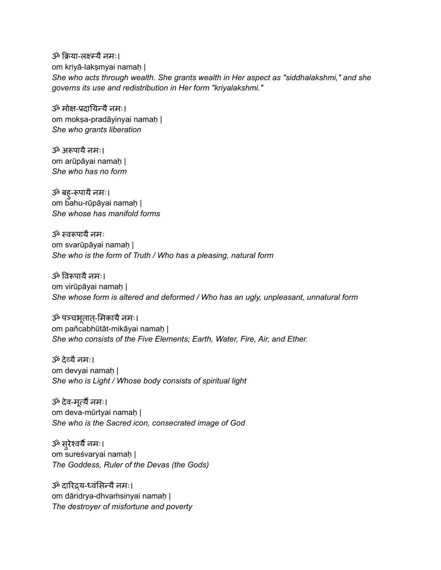ॐ क्रिया-लक्ष्म्यै नमः। om kriyā-lakṣmyai namaḥ | *She who acts through wealth. She grants wealth in Her aspect as "siddhalakshmi," and she governs its use and redistribution in Her form "kriyalakshmi."*

ॐ मोक्ष-प्रदायिन्यै नमः। om moksa-pradāyinyai namaḥ | *She who grants liberation*

ॐ अरूपायै नमः। om arūpāyai namaḥ | *She who has no form*

ॐ बहु-रूपायै नमः। om bahu-rūpāyai namaḥ | *She whose has manifold forms*

 $\ddot{x}$  स्वरूपायै नमः om svarūpāyai namaḥ | *She who is the form of Truth / Who has a pleasing, natural form*

ॐ विरूपायै नमः। om virūpāyai namaḥ | *She whose form is altered and deformed / Who has an ugly, unpleasant, unnatural form*

ॐ पञ्चभूतात्-मिकायै नमः। om pañcabhūtāt-mikāyai namaḥ | *She who consists of the Five Elements; Earth, Water, Fire, Air, and Ether.*

ॐ देव्यैनमः। om devyai namaḥ | *She who is Light / Whose body consists of spiritual light*

ॐ देव-मर्त्यैूर्त्यै नमः। om deva-mūrtyai namaḥ | *She who is the Sacred icon, consecrated image of God*

ॐ सरुेश्वर्यै नमः। om sureśvaryai namaḥ | *The Goddess, Ruler of the Devas (the Gods)*

ॐ दारिद्र्य-ध्वंसिन्यै नमः। om dāridrya-dhvaṁsinyai namaḥ | *The destroyer of misfortune and poverty*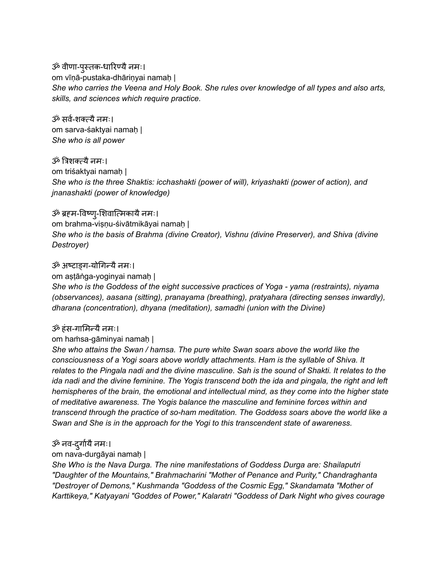ॐ वीणा-पुस्तक-धारिण्यै नमः। om vīṇā-pustaka-dhāriṇyai namaḥ | *She who carries the Veena and Holy Book. She rules over knowledge of all types and also arts, skills, and sciences which require practice.*

ॐ सर्व-र्वशक्त्यैनमः। om sarva-śaktyai namaḥ | *She who is all power*

ॐ त्रिशक्त्यै नमः। om triśaktyai namaḥ | *She who is the three Shaktis: icchashakti (power of will), kriyashakti (power of action), and jnanashakti (power of knowledge)*

#### ॐ ब्रहम-विष्ण्-शिवात्मिकायै नमः।

om brahma-viṣṇu-śivātmikāyai namaḥ | *She who is the basis of Brahma (divine Creator), Vishnu (divine Preserver), and Shiva (divine Destroyer)*

## ॐ अष्टाङ्ग-योगिन्यै नमः।

om aṣṭāṅga-yoginyai namaḥ |

*She who is the Goddess of the eight successive practices of Yoga - yama (restraints), niyama (observances), aasana (sitting), pranayama (breathing), pratyahara (directing senses inwardly), dharana (concentration), dhyana (meditation), samadhi (union with the Divine)*

#### ॐ हंस-गामिन्यै नमः।

om haṁsa-gāminyai namaḥ |

*She who attains the Swan / hamsa. The pure white Swan soars above the world like the consciousness of a Yogi soars above worldly attachments. Ham is the syllable of Shiva. It* relates to the Pingala nadi and the divine masculine. Sah is the sound of Shakti. It relates to the *ida nadi and the divine feminine. The Yogis transcend both the ida and pingala, the right and left hemispheres of the brain, the emotional and intellectual mind, as they come into the higher state of meditative awareness. The Yogis balance the masculine and feminine forces within and transcend through the practice of so-ham meditation. The Goddess soars above the world like a Swan and She is in the approach for the Yogi to this transcendent state of awareness.*

# ॐ नव-दुर्गायै नमः।

om nava-durgāyai namaḥ |

*She Who is the Nava Durga. The nine manifestations of Goddess Durga are: Shailaputri "Daughter of the Mountains," Brahmacharini "Mother of Penance and Purity," Chandraghanta "Destroyer of Demons," Kushmanda "Goddess of the Cosmic Egg," Skandamata "Mother of Karttikeya," Katyayani "Goddes of Power," Kalaratri "Goddess of Dark Night who gives courage*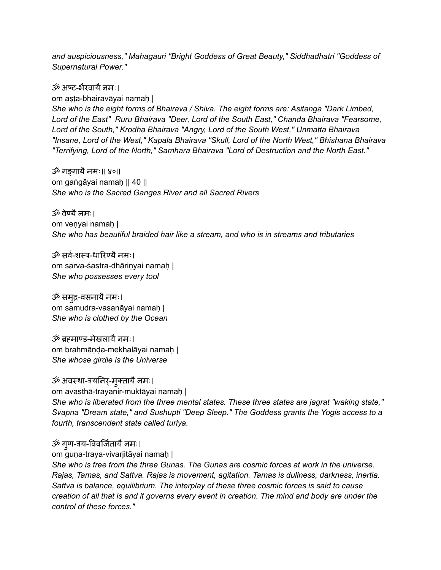*and auspiciousness," Mahagauri "Bright Goddess of Great Beauty," Siddhadhatri "Goddess of Supernatural Power."*

ॐ अष्ट-भरैवायैनमः। om aṣṭa-bhairavāyai namaḥ | *She who is the eight forms of Bhairava / Shiva. The eight forms are: Asitanga "Dark Limbed, Lord of the East" Ruru Bhairava "Deer, Lord of the South East," Chanda Bhairava "Fearsome, Lord of the South," Krodha Bhairava "Angry, Lord of the South West," Unmatta Bhairava "Insane, Lord of the West," Kapala Bhairava "Skull, Lord of the North West," Bhishana Bhairava "Terrifying, Lord of the North," Samhara Bhairava "Lord of Destruction and the North East."*

ॐ गङ्गायैनमः॥ ४०॥ om gaṅgāyai namaḥ || 40 || *She who is the Sacred Ganges River and all Sacred Rivers*

ॐ वेण्यैनमः। om veṇyai namaḥ | *She who has beautiful braided hair like a stream, and who is in streams and tributaries*

ॐ सर्व-शस्त्र-धारिण्यै नमः। om sarva-śastra-dhāriṇyai namaḥ | *She who possesses every tool*

ॐ समृद्र-वसनायै नमः। om samudra-vasanāyai namaḥ | *She who is clothed by the Ocean*

ॐ ब्रह्माण्ड-मेखलायैनमः। om brahmāṇḍa-mekhalāyai namaḥ | *She whose girdle is the Universe*

ॐ अवस्था-त्रयनिर्-मुक्तायै नमः। om avasthā-trayanir-muktāyai namaḥ | *She who is liberated from the three mental states. These three states are jagrat "waking state," Svapna "Dream state," and Sushupti "Deep Sleep." The Goddess grants the Yogis access to a fourth, transcendent state called turiya.*

ॐ गृण-त्रय-विवर्जितायै नमः।

om guṇa-traya-vivarjitāyai namaḥ |

*She who is free from the three Gunas. The Gunas are cosmic forces at work in the universe. Rajas, Tamas, and Sattva. Rajas is movement, agitation. Tamas is dullness, darkness, inertia. Sattva is balance, equilibrium. The interplay of these three cosmic forces is said to cause* creation of all that is and it governs every event in creation. The mind and body are under the *control of these forces."*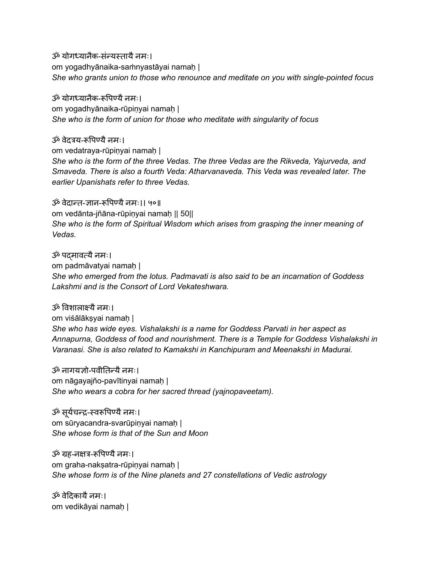ॐ योगध्यानकै -सन्ं यस्तायैनमः। om yogadhyānaika-saṁnyastāyai namaḥ | *She who grants union to those who renounce and meditate on you with single-pointed focus*

ॐ योगध्यानकै -रूपि ण्यैनमः। om yogadhyānaika-rūpiṇyai namaḥ | *She who is the form of union for those who meditate with singularity of focus*

ॐ वेदत्रय-रूपिण्यै नमः। om vedatraya-rūpiṇyai namaḥ | *She who is the form of the three Vedas. The three Vedas are the Rikveda, Yajurveda, and Smaveda. There is also a fourth Veda: Atharvanaveda. This Veda was revealed later. The earlier Upanishats refer to three Vedas.*

ॐ वेदान्त-ज्ञान-रूपिण्यै नमः।। ५०॥ om vedānta-jñāna-rūpiṇyai namaḥ || 50|| *She who is the form of Spiritual Wisdom which arises from grasping the inner meaning of Vedas.*

ॐ पद्मावत्यैनमः। om padmāvatyai namaḥ | *She who emerged from the lotus. Padmavati is also said to be an incarnation of Goddess Lakshmi and is the Consort of Lord Vekateshwara.*

 $\ddot{\mathcal{P}}$  विशालाक्ष्यै नमः। om viśālākṣyai namaḥ | *She who has wide eyes. Vishalakshi is a name for Goddess Parvati in her aspect as Annapurna, Goddess of food and nourishment. There is a Temple for Goddess Vishalakshi in Varanasi. She is also related to Kamakshi in Kanchipuram and Meenakshi in Madurai.*

ॐ नागयज्ञो-पवीतिन्यै नमः। om nāgayajño-pavītinyai namaḥ | *She who wears a cobra for her sacred thread (yajnopaveetam).*

ॐ सुर्यचन्द्र-स्वरूपिण्यै नमः। om sūryacandra-svarūpiṇyai namaḥ | *She whose form is that of the Sun and Moon*

ॐ ग्रह-नक्षत्र-रूपिण्यै नमः। om graha-nakṣatra-rūpiṇyai namaḥ | *She whose form is of the Nine planets and 27 constellations of Vedic astrology*

ॐ वेदिकायै नमः। om vedikāyai namaḥ |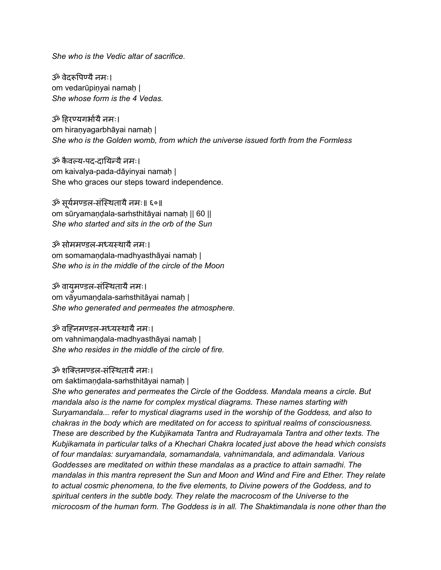*She who is the Vedic altar of sacrifice.*

ॐ वेदरूपिण्यै नमः। om vedarūpiṇyai namaḥ | *She whose form is the 4 Vedas.*

ॐ हि रण्यगर्भा यैनमः। om hiraṇyagarbhāyai namaḥ | *She who is the Golden womb, from which the universe issued forth from the Formless*

ॐ कैवल्य-पद-दायिन्यै नमः। om kaivalya-pada-dāyinyai namaḥ | She who graces our steps toward independence.

ॐ सूर्यमण्डल-संस्थितायै नमः॥ ६०॥ om sūryamaṇḍala-saṁsthitāyai namaḥ || 60 || *She who started and sits in the orb of the Sun*

ॐ सोममण्डल-मध्यस्थायैनमः। om somamandala-madhyasthāyai namah | *She who is in the middle of the circle of the Moon*

ॐ वायुमण्डल-संस्थितायै नमः। om vāyumaṇḍala-saṁsthitāyai namaḥ | *She who generated and permeates the atmosphere.*

ॐ वह्निमण्डल-मध्यस्थायै नमः। om vahnimandala-madhyasthāyai namah | *She who resides in the middle of the circle of fire.*

## ॐ शक्तिमण्डल-संस्थितायै नमः।

om śaktimaṇḍala-saṁsthitāyai namaḥ |

*She who generates and permeates the Circle of the Goddess. Mandala means a circle. But mandala also is the name for complex mystical diagrams. These names starting with Suryamandala... refer to mystical diagrams used in the worship of the Goddess, and also to chakras in the body which are meditated on for access to spiritual realms of consciousness. These are described by the Kubjikamata Tantra and Rudrayamala Tantra and other texts. The Kubjikamata in particular talks of a Khechari Chakra located just above the head which consists of four mandalas: suryamandala, somamandala, vahnimandala, and adimandala. Various Goddesses are meditated on within these mandalas as a practice to attain samadhi. The mandalas in this mantra represent the Sun and Moon and Wind and Fire and Ether. They relate to actual cosmic phenomena, to the five elements, to Divine powers of the Goddess, and to spiritual centers in the subtle body. They relate the macrocosm of the Universe to the microcosm of the human form. The Goddess is in all. The Shaktimandala is none other than the*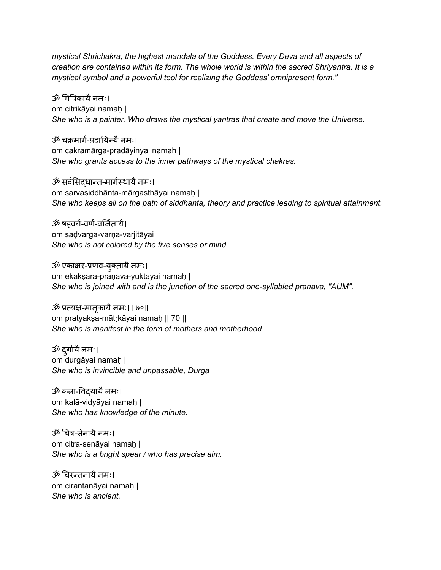*mystical Shrichakra, the highest mandala of the Goddess. Every Deva and all aspects of creation are contained within its form. The whole world is within the sacred Shriyantra. It is a mystical symbol and a powerful tool for realizing the Goddess' omnipresent form."*

ॐ चित्रिकायै नमः। om citrikāyai namaḥ | *She who is a painter. Who draws the mystical yantras that create and move the Universe.*

ॐ चक्रमार्ग-प्रदायिन्यै नमः। om cakramārga-pradāyinyai namah | *She who grants access to the inner pathways of the mystical chakras.*

ॐ सर्वसिर्वसिद्धान्त-मार्गस्र्ग थायैनमः। om sarvasiddhānta-mārgasthāyai namaḥ | *She who keeps all on the path of siddhanta, theory and practice leading to spiritual attainment.*

ॐ षडवर्ग-वर्ण-वर्जितायै। om ṣaḍvarga-varṇa-varjitāyai | *She who is not colored by the five senses or mind*

ॐ एकाक्षर-प्रणव-युक्तायै नमः। om ekākṣara-praṇava-yuktāyai namaḥ | *She who is joined with and is the junction of the sacred one-syllabled pranava, "AUM".*

ॐ प्रत्यक्ष-मातृकायै नमः।। ७०॥ om pratyakṣa-mātṛkāyai namaḥ || 70 || *She who is manifest in the form of mothers and motherhood*

ॐ दुर्गायै नमः। om durgāyai namaḥ | *She who is invincible and unpassable, Durga*

ॐ कला-विदयायै नमः। om kalā-vidyāyai namaḥ | *She who has knowledge of the minute.*

ॐ चित्र-सेनायै नमः। om citra-senāyai namah | *She who is a bright spear / who has precise aim.*

ॐ चिरन्तनायै नमः। om cirantanāyai namaḥ | *She who is ancient.*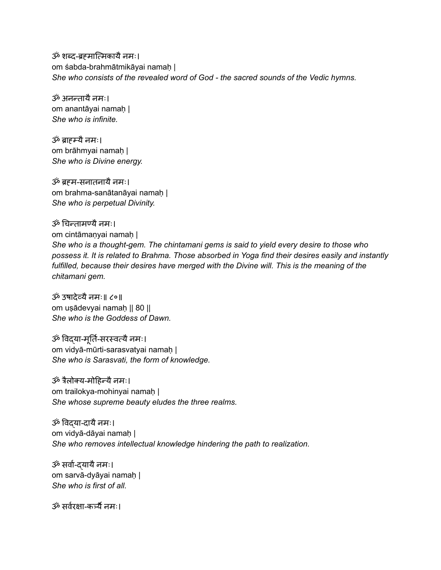ॐ शब्द-ब्रहमात्मिकायै नमः। om śabda-brahmātmikāyai namaḥ | *She who consists of the revealed word of God - the sacred sounds of the Vedic hymns.*

ॐ अनन्तायै नमः। om anantāyai namaḥ | *She who is infinite.*

ॐ ब्राह्म्यैनमः। om brāhmyai namaḥ | *She who is Divine energy.*

ॐ ब्रह्म-सनातनायैनमः। om brahma-sanātanāyai namaḥ | *She who is perpetual Divinity.*

ॐ चिन्तामण्यै नमः। om cintāmanyai namah | *She who is a thought-gem. The chintamani gems is said to yield every desire to those who possess it. It is related to Brahma. Those absorbed in Yoga find their desires easily and instantly fulfilled, because their desires have merged with the Divine will. This is the meaning of the chitamani gem.*

ॐ उषादेव्यैनमः॥ ८०॥ om uṣādevyai namaḥ || 80 || *She who is the Goddess of Dawn.*

ॐ विदया-मूर्ति-सरस्वत्यै नमः। om vidyā-mūrti-sarasvatyai namaḥ | *She who is Sarasvati, the form of knowledge.*

ॐ त्रैलोक्य-मोहिन्यै नमः। om trailokya-mohinyai namaḥ | *She whose supreme beauty eludes the three realms.*

ॐ विद्या-दायै नमः। om vidyā-dāyai namaḥ | *She who removes intellectual knowledge hindering the path to realization.*

ॐ सर्वा-दयायै नमः। om sarvā-dyāyai namaḥ | *She who is first of all.*

ॐ सर्वरक्षा-कर्त्र्यै नमः।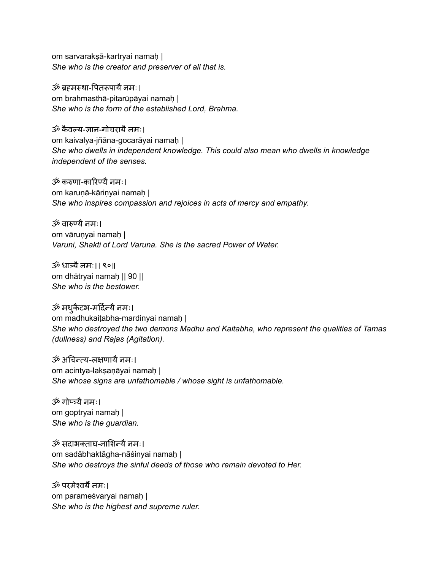om sarvarakṣā-kartryai namaḥ | *She who is the creator and preserver of all that is.*

ॐ ब्रहमस्था-पितरूपायै नमः। om brahmasthā-pitarūpāyai namaḥ | *She who is the form of the established Lord, Brahma.*

ॐ कैवल्य-ज्ञान-गोचरायैनमः। om kaivalya-jñāna-gocarāyai namah | *She who dwells in independent knowledge. This could also mean who dwells in knowledge independent of the senses.*

ॐ करुणा-कारिण्यै नमः। om karuṇā-kāriṇyai namaḥ | *She who inspires compassion and rejoices in acts of mercy and empathy.*

ॐ वारुण्यैनमः। om vārunyai namah | *Varuni, Shakti of Lord Varuna. She is the sacred Power of Water.*

ॐ धात्र्यैनमः।। ९०॥ om dhātryai namaḥ || 90 || *She who is the bestower.*

ॐ मध्¢ेटभ-मर्दिन्यै नमः। om madhukaiṭabha-mardinyai namaḥ | *She who destroyed the two demons Madhu and Kaitabha, who represent the qualities of Tamas (dullness) and Rajas (Agitation).*

ॐ अचिन्त्य-लक्षणायै नमः। om acintya-lakṣaṇāyai namaḥ | *She whose signs are unfathomable / whose sight is unfathomable.*

ॐ गोप्त्र्यैनमः। om goptryai namaḥ | *She who is the guardian.*

ॐ सदाभक्ताघ-नाशिन्यै नमः। om sadābhaktāgha-nāśinyai namaḥ | *She who destroys the sinful deeds of those who remain devoted to Her.*

ॐ परमेश्वर्यै नमः। om parameśvaryai namaḥ | *She who is the highest and supreme ruler.*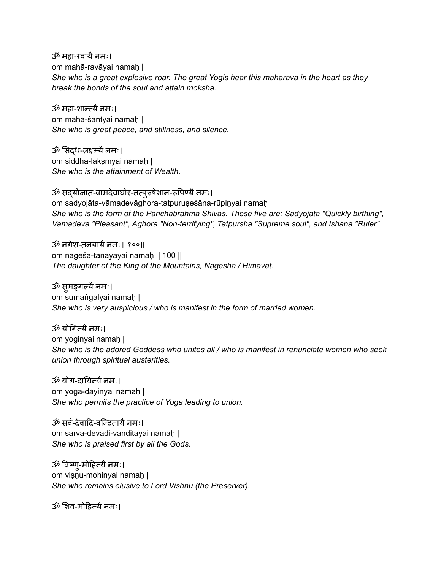ॐ महा-रवायै नमः। om mahā-ravāyai namaḥ | *She who is a great explosive roar. The great Yogis hear this maharava in the heart as they break the bonds of the soul and attain moksha.*

ॐ महा-शान्त्यैनमः। om mahā-śāntyai namaḥ | *She who is great peace, and stillness, and silence.*

ॐ सिदध-लक्ष्म्न्यै नमः। om siddha-lakṣmyai namaḥ | *She who is the attainment of Wealth.*

ॐ सद्योजात-वामदेवाघोर-तत्पुरुषेशान-रूपिण्यै नमः। om sadyojāta-vāmadevāghora-tatpuruṣeśāna-rūpiṇyai namaḥ | *She who is the form of the Panchabrahma Shivas. These five are: Sadyojata "Quickly birthing", Vamadeva "Pleasant", Aghora "Non-terrifying", Tatpursha "Supreme soul", and Ishana "Ruler"*

ॐ नगेश-तनयायैनमः॥ १००॥ om nageśa-tanayāyai namaḥ || 100 || *The daughter of the King of the Mountains, Nagesha / Himavat.*

ॐ सुमङ्गल्यै नमः। om sumaṅgalyai namaḥ | *She who is very auspicious / who is manifest in the form of married women.*

ॐ योगिन्यै नमः। om yoginyai namaḥ | *She who is the adored Goddess who unites all / who is manifest in renunciate women who seek union through spiritual austerities.*

ॐ योग-दायि न्यैनमः। om yoga-dāyinyai namaḥ | *She who permits the practice of Yoga leading to union.*

ॐ सर्व-देवादि-वन्दितायै नमः। om sarva-devādi-vanditāyai namaḥ | *She who is praised first by all the Gods.*

ॐ विष्ण्-मोहिन्यै नमः। om viṣṇu-mohinyai namaḥ | *She who remains elusive to Lord Vishnu (the Preserver).*

ॐ शिव-मोहिन्यै नमः।